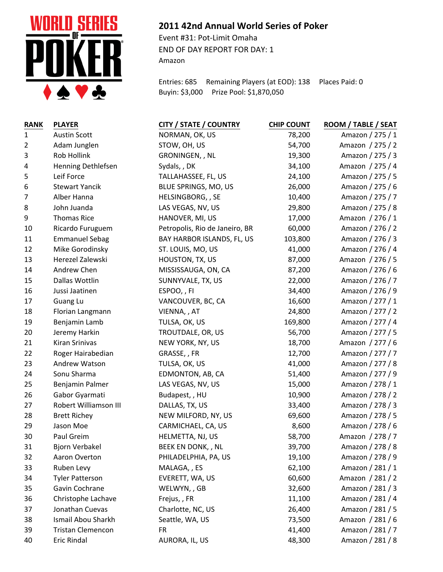

## **2011 42nd Annual World Series of Poker**

Event #31: Pot-Limit Omaha END OF DAY REPORT FOR DAY: 1 Amazon

Entries: 685 Remaining Players (at EOD): 138 Places Paid: 0 Buyin: \$3,000 Prize Pool: \$1,870,050

| <b>RANK</b>    | <b>PLAYER</b>            | <b>CITY / STATE / COUNTRY</b>  | <b>CHIP COUNT</b> | ROOM / TABLE / SEAT |
|----------------|--------------------------|--------------------------------|-------------------|---------------------|
| $\mathbf{1}$   | <b>Austin Scott</b>      | NORMAN, OK, US                 | 78,200            | Amazon / 275 / 1    |
| 2              | Adam Junglen             | STOW, OH, US                   | 54,700            | Amazon / 275 / 2    |
| $\mathbf{3}$   | Rob Hollink              | GRONINGEN, , NL                | 19,300            | Amazon / 275 / 3    |
| 4              | Henning Dethlefsen       | Sydals, , DK                   | 34,100            | Amazon / 275 / 4    |
| 5              | Leif Force               | TALLAHASSEE, FL, US            | 24,100            | Amazon / 275 / 5    |
| 6              | <b>Stewart Yancik</b>    | BLUE SPRINGS, MO, US           | 26,000            | Amazon / 275 / 6    |
| $\overline{7}$ | Alber Hanna              | HELSINGBORG, , SE              | 10,400            | Amazon / 275 / 7    |
| 8              | John Juanda              | LAS VEGAS, NV, US              | 29,800            | Amazon / 275 / 8    |
| 9              | <b>Thomas Rice</b>       | HANOVER, MI, US                | 17,000            | Amazon / 276 / 1    |
| 10             | Ricardo Furuguem         | Petropolis, Rio de Janeiro, BR | 60,000            | Amazon / 276 / 2    |
| 11             | <b>Emmanuel Sebag</b>    | BAY HARBOR ISLANDS, FL, US     | 103,800           | Amazon / 276 / 3    |
| 12             | Mike Gorodinsky          | ST. LOUIS, MO, US              | 41,000            | Amazon / 276 / 4    |
| 13             | Herezel Zalewski         | HOUSTON, TX, US                | 87,000            | Amazon / 276 / 5    |
| 14             | Andrew Chen              | MISSISSAUGA, ON, CA            | 87,200            | Amazon / 276 / 6    |
| 15             | Dallas Wottlin           | SUNNYVALE, TX, US              | 22,000            | Amazon / 276 / 7    |
| 16             | Jussi Jaatinen           | ESPOO,, FI                     | 34,400            | Amazon / 276 / 9    |
| 17             | Guang Lu                 | VANCOUVER, BC, CA              | 16,600            | Amazon / 277 / 1    |
| 18             | Florian Langmann         | VIENNA, , AT                   | 24,800            | Amazon / 277 / 2    |
| 19             | Benjamin Lamb            | TULSA, OK, US                  | 169,800           | Amazon / 277 / 4    |
| 20             | Jeremy Harkin            | TROUTDALE, OR, US              | 56,700            | Amazon / 277 / 5    |
| 21             | Kiran Srinivas           | NEW YORK, NY, US               | 18,700            | Amazon / 277 / 6    |
| 22             | Roger Hairabedian        | GRASSE, , FR                   | 12,700            | Amazon / 277 / 7    |
| 23             | Andrew Watson            | TULSA, OK, US                  | 41,000            | Amazon / 277 / 8    |
| 24             | Sonu Sharma              | EDMONTON, AB, CA               | 51,400            | Amazon / 277 / 9    |
| 25             | Benjamin Palmer          | LAS VEGAS, NV, US              | 15,000            | Amazon / 278 / 1    |
| 26             | Gabor Gyarmati           | Budapest, , HU                 | 10,900            | Amazon / 278 / 2    |
| 27             | Robert Williamson III    | DALLAS, TX, US                 | 33,400            | Amazon / 278 / 3    |
| 28             | <b>Brett Richey</b>      | NEW MILFORD, NY, US            | 69,600            | Amazon / 278 / 5    |
| 29             | Jason Moe                | CARMICHAEL, CA, US             | 8,600             | Amazon / 278 / 6    |
| 30             | Paul Greim               | HELMETTA, NJ, US               | 58,700            | Amazon / 278 / 7    |
| 31             | Bjorn Verbakel           | BEEK EN DONK,, NL              | 39,700            | Amazon / 278 / 8    |
| 32             | Aaron Overton            | PHILADELPHIA, PA, US           | 19,100            | Amazon / 278 / 9    |
| 33             | Ruben Levy               | MALAGA,, ES                    | 62,100            | Amazon / 281 / 1    |
| 34             | <b>Tyler Patterson</b>   | EVERETT, WA, US                | 60,600            | Amazon / 281 / 2    |
| 35             | Gavin Cochrane           | WELWYN,, GB                    | 32,600            | Amazon / 281 / 3    |
| 36             | Christophe Lachave       | Frejus, , FR                   | 11,100            | Amazon / 281 / 4    |
| 37             | Jonathan Cuevas          | Charlotte, NC, US              | 26,400            | Amazon / 281 / 5    |
| 38             | Ismail Abou Sharkh       | Seattle, WA, US                | 73,500            | Amazon / 281 / 6    |
| 39             | <b>Tristan Clemencon</b> | <b>FR</b>                      | 41,400            | Amazon / 281 / 7    |
| 40             | Eric Rindal              | AURORA, IL, US                 | 48,300            | Amazon / 281 / 8    |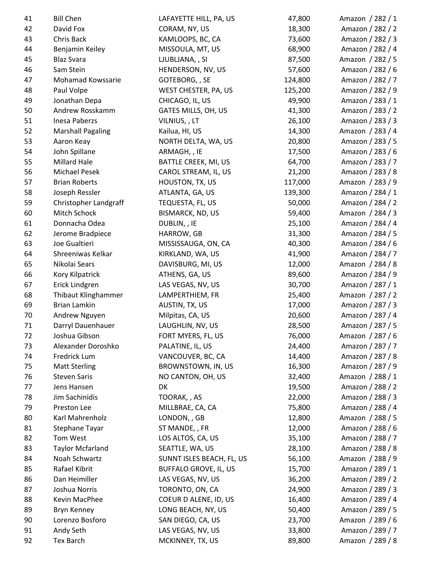| 41 | <b>Bill Chen</b>             | LAFAYETTE HILL, PA, US       | 47,800  | Amazon / 282 / 1 |
|----|------------------------------|------------------------------|---------|------------------|
| 42 | David Fox                    | CORAM, NY, US                | 18,300  | Amazon / 282 / 2 |
| 43 | Chris Back                   | KAMLOOPS, BC, CA             | 73,600  | Amazon / 282 / 3 |
| 44 | Benjamin Keiley              | MISSOULA, MT, US             | 68,900  | Amazon / 282 / 4 |
| 45 | <b>Blaz Svara</b>            | LJUBLJANA, , SI              | 87,500  | Amazon / 282 / 5 |
| 46 | Sam Stein                    | HENDERSON, NV, US            | 57,600  | Amazon / 282 / 6 |
| 47 | Mohamad Kowssarie            | GOTEBORG, , SE               | 124,800 | Amazon / 282 / 7 |
| 48 | Paul Volpe                   | WEST CHESTER, PA, US         | 125,200 | Amazon / 282 / 9 |
| 49 | Jonathan Depa                | CHICAGO, IL, US              | 49,900  | Amazon / 283 / 1 |
| 50 | Andrew Rosskamm              | GATES MILLS, OH, US          | 41,300  | Amazon / 283 / 2 |
| 51 | Inesa Paberzs                | VILNIUS, , LT                | 26,100  | Amazon / 283 / 3 |
| 52 | <b>Marshall Pagaling</b>     | Kailua, HI, US               | 14,300  | Amazon / 283 / 4 |
| 53 | Aaron Keay                   | NORTH DELTA, WA, US          | 20,800  | Amazon / 283 / 5 |
| 54 | John Spillane                | ARMAGH, , IE                 | 17,500  | Amazon / 283 / 6 |
| 55 | Millard Hale                 | BATTLE CREEK, MI, US         | 64,700  | Amazon / 283 / 7 |
| 56 | Michael Pesek                | CAROL STREAM, IL, US         | 21,200  | Amazon / 283 / 8 |
| 57 | <b>Brian Roberts</b>         | HOUSTON, TX, US              | 117,000 | Amazon / 283 / 9 |
| 58 | Joseph Ressler               | ATLANTA, GA, US              | 139,300 | Amazon / 284 / 1 |
| 59 | <b>Christopher Landgraff</b> | TEQUESTA, FL, US             | 50,000  | Amazon / 284 / 2 |
| 60 | Mitch Schock                 | <b>BISMARCK, ND, US</b>      | 59,400  | Amazon / 284 / 3 |
| 61 | Donnacha Odea                | DUBLIN, , IE                 | 25,100  | Amazon / 284 / 4 |
| 62 | Jerome Bradpiece             | HARROW, GB                   | 31,300  | Amazon / 284 / 5 |
| 63 | Joe Gualtieri                | MISSISSAUGA, ON, CA          | 40,300  | Amazon / 284 / 6 |
| 64 | Shreeniwas Kelkar            | KIRKLAND, WA, US             | 41,900  | Amazon / 284 / 7 |
| 65 | Nikolai Sears                | DAVISBURG, MI, US            | 12,000  | Amazon / 284 / 8 |
| 66 | Kory Kilpatrick              | ATHENS, GA, US               | 89,600  | Amazon / 284 / 9 |
| 67 | Erick Lindgren               | LAS VEGAS, NV, US            | 30,700  | Amazon / 287 / 1 |
| 68 | Thibaut Klinghammer          | LAMPERTHIEM, FR              | 25,400  | Amazon / 287 / 2 |
| 69 | Brian Lamkin                 | AUSTIN, TX, US               | 17,000  | Amazon / 287 / 3 |
| 70 | Andrew Nguyen                | Milpitas, CA, US             | 20,600  | Amazon / 287 / 4 |
| 71 | Darryl Dauenhauer            | LAUGHLIN, NV, US             | 28,500  | Amazon / 287 / 5 |
| 72 | Joshua Gibson                | FORT MYERS, FL, US           | 76,000  | Amazon / 287 / 6 |
| 73 | Alexander Doroshko           | PALATINE, IL, US             | 24,400  | Amazon / 287 / 7 |
| 74 | Fredrick Lum                 | VANCOUVER, BC, CA            | 14,400  | Amazon / 287 / 8 |
| 75 | <b>Matt Sterling</b>         | BROWNSTOWN, IN, US           | 16,300  | Amazon / 287 / 9 |
| 76 | <b>Steven Saris</b>          | NO CANTON, OH, US            | 32,400  | Amazon / 288 / 1 |
| 77 | Jens Hansen                  | DK                           | 19,500  | Amazon / 288 / 2 |
| 78 | Jim Sachinidis               | TOORAK, , AS                 | 22,000  | Amazon / 288 / 3 |
| 79 | Preston Lee                  | MILLBRAE, CA, CA             | 75,800  | Amazon / 288 / 4 |
| 80 | Karl Mahrenholz              | LONDON, , GB                 | 12,800  | Amazon / 288 / 5 |
| 81 | Stephane Tayar               | ST MANDE, , FR               | 12,000  | Amazon / 288 / 6 |
| 82 | Tom West                     | LOS ALTOS, CA, US            | 35,100  | Amazon / 288 / 7 |
| 83 | <b>Taylor Mcfarland</b>      | SEATTLE, WA, US              | 28,100  | Amazon / 288 / 8 |
| 84 | Noah Schwartz                | SUNNT ISLES BEACH, FL, US    | 56,100  | Amazon / 288 / 9 |
| 85 | Rafael Kibrit                | <b>BUFFALO GROVE, IL, US</b> | 15,700  | Amazon / 289 / 1 |
| 86 | Dan Heimiller                | LAS VEGAS, NV, US            | 36,200  | Amazon / 289 / 2 |
| 87 | Joshua Norris                | TORONTO, ON, CA              | 24,900  | Amazon / 289 / 3 |
| 88 | Kevin MacPhee                | COEUR D ALENE, ID, US        | 16,400  | Amazon / 289 / 4 |
| 89 | Bryn Kenney                  | LONG BEACH, NY, US           | 50,400  | Amazon / 289 / 5 |
| 90 | Lorenzo Bosforo              | SAN DIEGO, CA, US            | 23,700  | Amazon / 289 / 6 |
| 91 | Andy Seth                    | LAS VEGAS, NV, US            | 33,800  | Amazon / 289 / 7 |
| 92 | Tex Barch                    | MCKINNEY, TX, US             | 89,800  | Amazon / 289 / 8 |